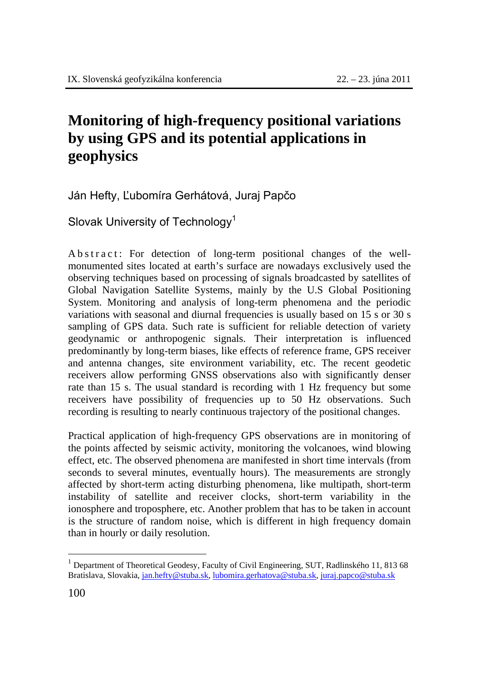## **Monitoring of high-frequency positional variations by using GPS and its potential applications in geophysics**

Ján Hefty, Ľubomíra Gerhátová, Juraj Papčo

Slovak University of Technology<sup>1</sup>

A b s t r a c t : For detection of long-term positional changes of the wellmonumented sites located at earth's surface are nowadays exclusively used the observing techniques based on processing of signals broadcasted by satellites of Global Navigation Satellite Systems, mainly by the U.S Global Positioning System. Monitoring and analysis of long-term phenomena and the periodic variations with seasonal and diurnal frequencies is usually based on 15 s or 30 s sampling of GPS data. Such rate is sufficient for reliable detection of variety geodynamic or anthropogenic signals. Their interpretation is influenced predominantly by long-term biases, like effects of reference frame, GPS receiver and antenna changes, site environment variability, etc. The recent geodetic receivers allow performing GNSS observations also with significantly denser rate than 15 s. The usual standard is recording with 1 Hz frequency but some receivers have possibility of frequencies up to 50 Hz observations. Such recording is resulting to nearly continuous trajectory of the positional changes.

Practical application of high-frequency GPS observations are in monitoring of the points affected by seismic activity, monitoring the volcanoes, wind blowing effect, etc. The observed phenomena are manifested in short time intervals (from seconds to several minutes, eventually hours). The measurements are strongly affected by short-term acting disturbing phenomena, like multipath, short-term instability of satellite and receiver clocks, short-term variability in the ionosphere and troposphere, etc. Another problem that has to be taken in account is the structure of random noise, which is different in high frequency domain than in hourly or daily resolution.

 $\overline{a}$ 

<sup>&</sup>lt;sup>1</sup> Department of Theoretical Geodesy, Faculty of Civil Engineering, SUT, Radlinského 11, 813 68 Bratislava, Slovakia, jan.hefty@stuba.sk, lubomira.gerhatova@stuba.sk, juraj.papco@stuba.sk